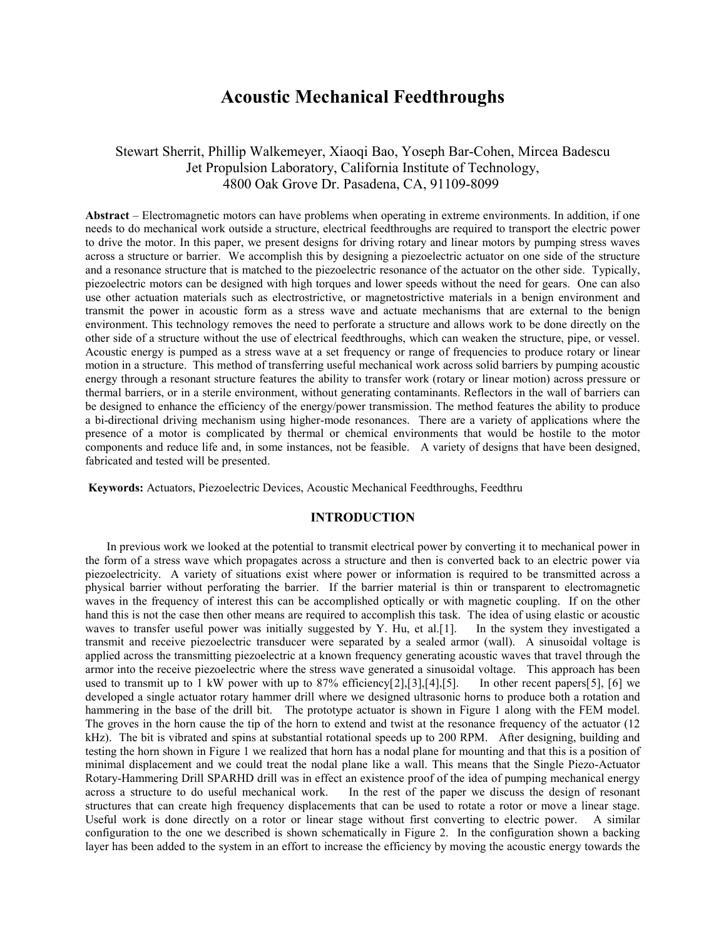# **Acoustic Mechanical Feedthroughs**

# Stewart Sherrit, Phillip Walkemeyer, Xiaoqi Bao, Yoseph Bar-Cohen, Mircea Badescu Jet Propulsion Laboratory, California Institute of Technology, 4800 Oak Grove Dr. Pasadena, CA, 91109-8099

**Abstract** – Electromagnetic motors can have problems when operating in extreme environments. In addition, if one needs to do mechanical work outside a structure, electrical feedthroughs are required to transport the electric power to drive the motor. In this paper, we present designs for driving rotary and linear motors by pumping stress waves across a structure or barrier. We accomplish this by designing a piezoelectric actuator on one side of the structure and a resonance structure that is matched to the piezoelectric resonance of the actuator on the other side. Typically, piezoelectric motors can be designed with high torques and lower speeds without the need for gears. One can also use other actuation materials such as electrostrictive, or magnetostrictive materials in a benign environment and transmit the power in acoustic form as a stress wave and actuate mechanisms that are external to the benign environment. This technology removes the need to perforate a structure and allows work to be done directly on the other side of a structure without the use of electrical feedthroughs, which can weaken the structure, pipe, or vessel. Acoustic energy is pumped as a stress wave at a set frequency or range of frequencies to produce rotary or linear motion in a structure. This method of transferring useful mechanical work across solid barriers by pumping acoustic energy through a resonant structure features the ability to transfer work (rotary or linear motion) across pressure or thermal barriers, or in a sterile environment, without generating contaminants. Reflectors in the wall of barriers can be designed to enhance the efficiency of the energy/power transmission. The method features the ability to produce a bi-directional driving mechanism using higher-mode resonances. There are a variety of applications where the presence of a motor is complicated by thermal or chemical environments that would be hostile to the motor components and reduce life and, in some instances, not be feasible. A variety of designs that have been designed, fabricated and tested will be presented.

**Keywords:** Actuators, Piezoelectric Devices, Acoustic Mechanical Feedthroughs, Feedthru

### **INTRODUCTION**

In previous work we looked at the potential to transmit electrical power by converting it to mechanical power in the form of a stress wave which propagates across a structure and then is converted back to an electric power via piezoelectricity. A variety of situations exist where power or information is required to be transmitted across a physical barrier without perforating the barrier. If the barrier material is thin or transparent to electromagnetic waves in the frequency of interest this can be accomplished optically or with magnetic coupling. If on the other hand this is not the case then other means are required to accomplish this task. The idea of using elastic or acoustic waves to transfer useful power was initially suggested by Y. Hu, et al.[[1\]](#page-1-0). In the system they investigated a transmit and receive piezoelectric transducer were separated by a sealed armor (wall). A sinusoidal voltage is applied across the transmitting piezoelectric at a known frequency generating acoustic waves that travel through the armor into the receive piezoelectric where the stress wave generated a sinusoidal voltage. This approach has been<br>used to transmit up to 1 kW power with up to 87% efficiency[2],[3],[4],[5]. In other recent papers[5], [6] w used to transmit up to 1 kW power with up to  $87\%$  efficiency[[2\]](#page-1-1),[[3](#page-1-2)],[[4](#page-1-3)],[[5\]](#page-1-4). developed a single actuator rotary hammer drill where we designed ultrasonic horns to produce both a rotation and hammering in the base of the drill bit. The prototype actuator is shown in Figure 1 along with the FEM model. The groves in the horn cause the tip of the horn to extend and twist at the resonance frequency of the actuator (12 kHz). The bit is vibrated and spins at substantial rotational speeds up to 200 RPM. After designing, building and testing the horn shown in Figure 1 we realized that horn has a nodal plane for mounting and that this is a position of minimal displacement and we could treat the nodal plane like a wall. This means that the Single Piezo-Actuator Rotary-Hammering Drill SPARHD drill was in effect an existence proof of the idea of pumping mechanical energy across a structure to do useful mechanical work. In the rest of the paper we discuss the design of resonant structures that can create high frequency displacements that can be used to rotate a rotor or move a linear stage. Useful work is done directly on a rotor or linear stage without first converting to electric power. A similar configuration to the one we described is shown schematically in Figure 2. In the configuration shown a backing layer has been added to the system in an effort to increase the efficiency by moving the acoustic energy towards the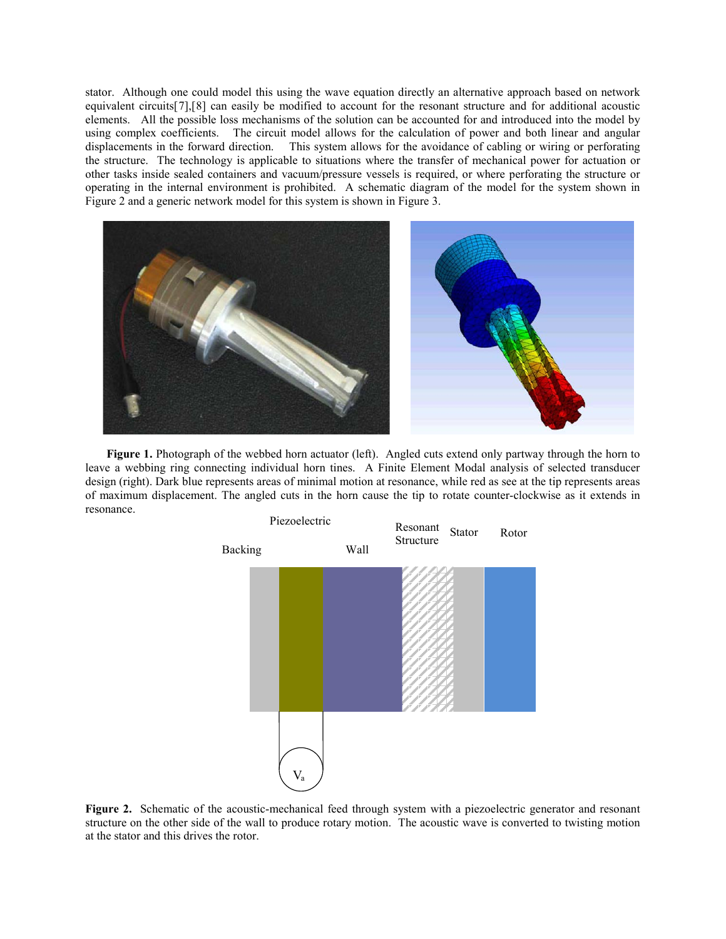<span id="page-1-6"></span><span id="page-1-5"></span><span id="page-1-4"></span>stator. Although one could model this using the wave equation directly an alternative approach based on network equivalent circuits[[7\]](#page-2-0),[[8](#page-2-1)] can easily be modified to account for the resonant structure and for additional acoustic elements. All the possible loss mechanisms of the solution can be accounted for and introduced into the model by using complex coefficients. The circuit model allows for the calculation of power and both linear and angular displacements in the forward direction. This system allows for the avoidance of cabling or wiring or perforating the structure. The technology is applicable to situations where the transfer of mechanical power for actuation or other tasks inside sealed containers and vacuum/pressure vessels is required, or where perforating the structure or operating in the internal environment is prohibited. A schematic diagram of the model for the system shown in Figure 2 and a generic network model for this system is shown in Figure 3.



**Figure 1.** Photograph of the webbed horn actuator (left). Angled cuts extend only partway through the horn to leave a webbing ring connecting individual horn tines. A Finite Element Modal analysis of selected transducer design (right). Dark blue represents areas of minimal motion at resonance, while red as see at the tip represents areas of maximum displacement. The angled cuts in the horn cause the tip to rotate counter-clockwise as it extends in resonance.



<span id="page-1-3"></span><span id="page-1-2"></span><span id="page-1-1"></span><span id="page-1-0"></span>Figure 2. Schematic of the acoustic-mechanical feed through system with a piezoelectric generator and resonant structure on the other side of the wall to produce rotary motion. The acoustic wave is converted to twisting motion at the stator and this drives the rotor.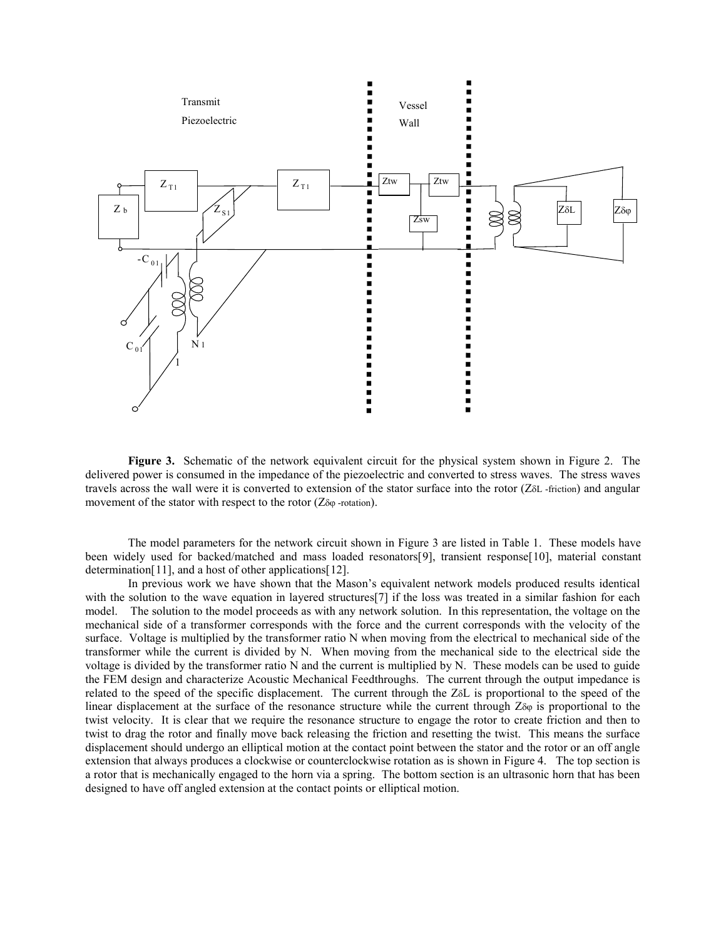<span id="page-2-2"></span><span id="page-2-1"></span><span id="page-2-0"></span>

<span id="page-2-7"></span><span id="page-2-6"></span><span id="page-2-5"></span><span id="page-2-4"></span><span id="page-2-3"></span>**Figure 3.** Schematic of the network equivalent circuit for the physical system shown in Figure 2. The delivered power is consumed in the impedance of the piezoelectric and converted to stress waves. The stress waves travels across the wall were it is converted to extension of the stator surface into the rotor (ZδL -friction) and angular movement of the stator with respect to the rotor  $(Z\delta\varphi\text{-rotation})$ .

The model parameters for the network circuit shown in Figure 3 are listed in Table 1. These models have been widely used for backed/matched and mass loaded resonators[[9\]](#page-2-2), transient response[[10\]](#page-2-3), material constant determination<sup>[[11](#page-2-4)]</sup>, and a host of other applications<sup>[[12\]](#page-2-5)</sup>.

In previous work we have shown that the Mason's equivalent network models produced results identical with the solution to the wave equation in layered structures<sup>[\[7\]](#page-1-6)</sup> if the loss was treated in a similar fashion for each model. The solution to the model proceeds as with any network solution. In this representation, the voltage on the mechanical side of a transformer corresponds with the force and the current corresponds with the velocity of the surface. Voltage is multiplied by the transformer ratio N when moving from the electrical to mechanical side of the transformer while the current is divided by N. When moving from the mechanical side to the electrical side the voltage is divided by the transformer ratio N and the current is multiplied by N. These models can be used to guide the FEM design and characterize Acoustic Mechanical Feedthroughs. The current through the output impedance is related to the speed of the specific displacement. The current through the ZδL is proportional to the speed of the linear displacement at the surface of the resonance structure while the current through  $Z_{\delta\varphi}$  is proportional to the twist velocity. It is clear that we require the resonance structure to engage the rotor to create friction and then to twist to drag the rotor and finally move back releasing the friction and resetting the twist. This means the surface displacement should undergo an elliptical motion at the contact point between the stator and the rotor or an off angle extension that always produces a clockwise or counterclockwise rotation as is shown in Figure 4. The top section is a rotor that is mechanically engaged to the horn via a spring. The bottom section is an ultrasonic horn that has been designed to have off angled extension at the contact points or elliptical motion.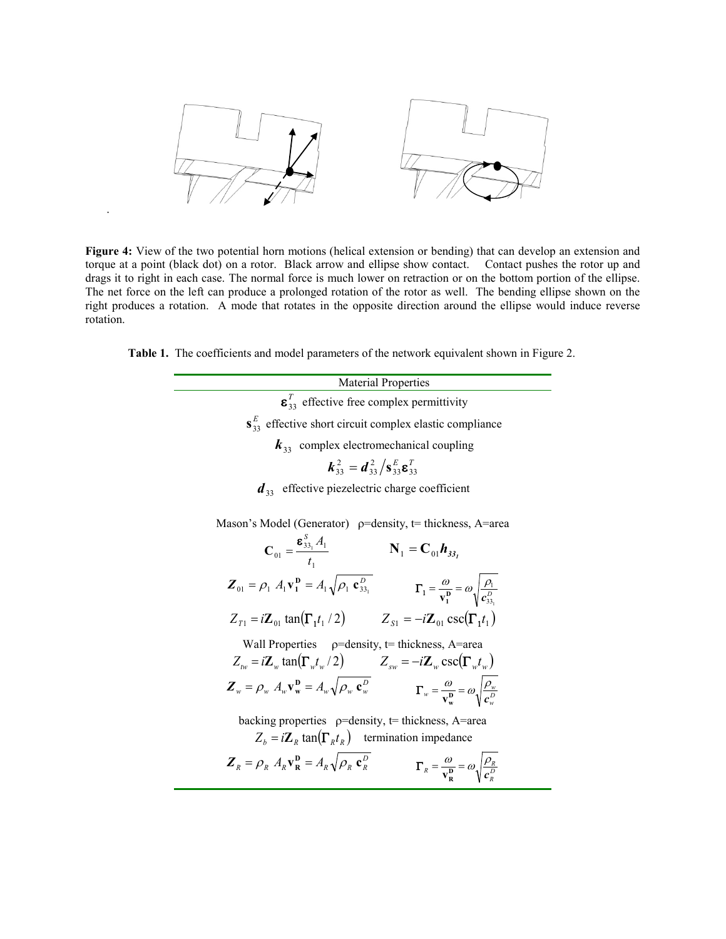

.

**Figure 4:** View of the two potential horn motions (helical extension or bending) that can develop an extension and torque at a point (black dot) on a rotor. Black arrow and ellipse show contact. Contact pushes the rotor up and drags it to right in each case. The normal force is much lower on retraction or on the bottom portion of the ellipse. The net force on the left can produce a prolonged rotation of the rotor as well. The bending ellipse shown on the right produces a rotation. A mode that rotates in the opposite direction around the ellipse would induce reverse rotation.

**Table 1.** The coefficients and model parameters of the network equivalent shown in Figure 2.

| <b>Material Properties</b>                                                                                                                                                                                                                                                           |
|--------------------------------------------------------------------------------------------------------------------------------------------------------------------------------------------------------------------------------------------------------------------------------------|
| $\boldsymbol{\varepsilon}_{33}^T$ effective free complex permittivity                                                                                                                                                                                                                |
| $\mathbf{s}_{33}^E$ effective short circuit complex elastic compliance                                                                                                                                                                                                               |
| $k_{33}$ complex electromechanical coupling                                                                                                                                                                                                                                          |
| $k_{22}^2 = d_{22}^2 / s_{22}^E \varepsilon_{22}^T$                                                                                                                                                                                                                                  |
| $d_{33}$ effective piezelectric charge coefficient                                                                                                                                                                                                                                   |
| Mason's Model (Generator) $\rho$ =density, t= thickness, A=area                                                                                                                                                                                                                      |
| $C_{01} = \frac{\varepsilon_{33_1}^3 A_1}{t}$ $N_1 = C_{01} h_{33_1}$                                                                                                                                                                                                                |
| $\mathbf{Z}_{01} = \rho_1 A_1 \mathbf{v}_1^{\mathbf{D}} = A_1 \sqrt{\rho_1 \mathbf{c}_{33_1}^D}$ $\mathbf{\Gamma}_1 = \frac{\omega}{\mathbf{v}_1^{\mathbf{D}}} = \omega \sqrt{\frac{\rho_1}{\rho_2^D}}$                                                                              |
| $Z_{\tau_1} = i\mathbb{Z}_{01} \tan(\mathbf{\Gamma}_1 t_1/2)$ $Z_{\tau_1} = -i\mathbb{Z}_{01} \csc(\mathbf{\Gamma}_1 t_1)$                                                                                                                                                           |
| Wall Properties $\rho$ =density, t= thickness, A=area                                                                                                                                                                                                                                |
| $Z_{\scriptscriptstyle{rw}} = i\mathbf{Z}_{\scriptscriptstyle{w}}\tan(\mathbf{\Gamma}_{\scriptscriptstyle{w}}t_{\scriptscriptstyle{w}}/2)$ $Z_{\scriptscriptstyle{sw}} = -i\mathbf{Z}_{\scriptscriptstyle{w}}\csc(\mathbf{\Gamma}_{\scriptscriptstyle{w}}t_{\scriptscriptstyle{w}})$ |
| $\mathbf{Z}_{w} = \rho_{w} A_{w} \mathbf{v}_{w}^{\mathbf{D}} = A_{w} \sqrt{\rho_{w} \mathbf{c}_{w}^{\mathbf{D}}}$ $\mathbf{\Gamma}_{w} = \frac{\omega}{\mathbf{v}^{\mathbf{D}}} = \omega \sqrt{\frac{\rho_{w}}{\rho_{w}^{\mathbf{D}}}}$                                              |
| backing properties $\rho$ =density, t= thickness, A=area                                                                                                                                                                                                                             |
| $Z_b = i\mathbf{Z}_R$ tan( $\Gamma_R t_R$ ) termination impedance                                                                                                                                                                                                                    |
| $\mathbf{Z}_{p} = \rho_{p} A_{p} \mathbf{v}_{p}^{\mathbf{D}} = A_{p} \sqrt{\rho_{p} \mathbf{c}_{p}^{\mathbf{D}}}$<br>$\Gamma_R = \frac{\omega}{\mathbf{v}_p^{\mathbf{D}}} = \omega \sqrt{\frac{\rho_R}{c_p^D}}$                                                                      |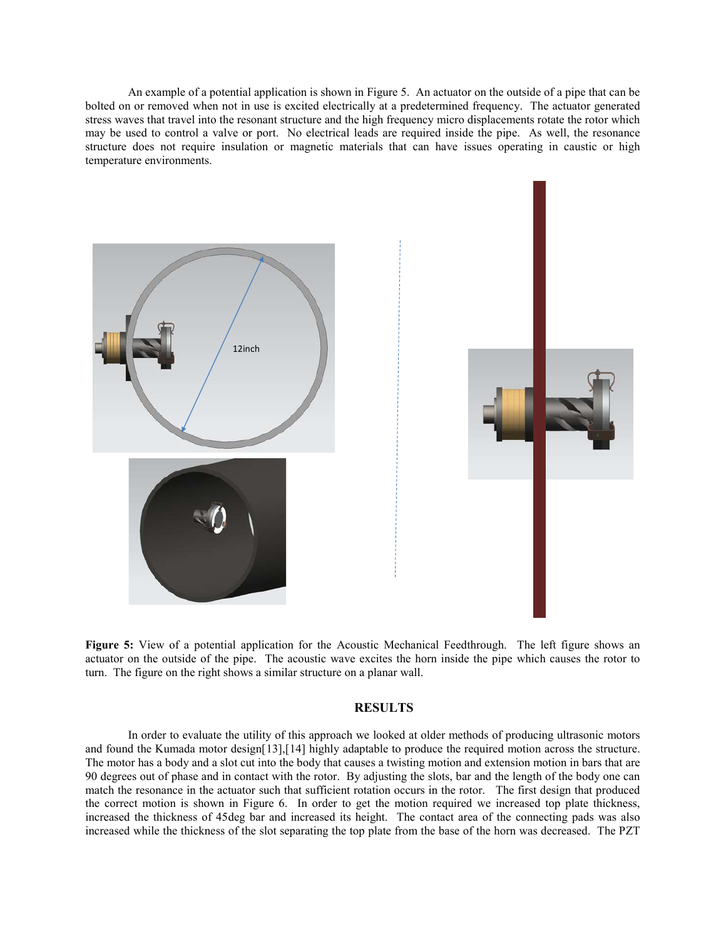An example of a potential application is shown in Figure 5. An actuator on the outside of a pipe that can be bolted on or removed when not in use is excited electrically at a predetermined frequency. The actuator generated stress waves that travel into the resonant structure and the high frequency micro displacements rotate the rotor which may be used to control a valve or port. No electrical leads are required inside the pipe. As well, the resonance structure does not require insulation or magnetic materials that can have issues operating in caustic or high temperature environments.



**Figure 5:** View of a potential application for the Acoustic Mechanical Feedthrough. The left figure shows an actuator on the outside of the pipe. The acoustic wave excites the horn inside the pipe which causes the rotor to turn. The figure on the right shows a similar structure on a planar wall.

## **RESULTS**

In order to evaluate the utility of this approach we looked at older methods of producing ultrasonic motors and found the Kumada motor design[[13\]](#page-2-6),[\[14\]](#page-2-7) highly adaptable to produce the required motion across the structure. The motor has a body and a slot cut into the body that causes a twisting motion and extension motion in bars that are 90 degrees out of phase and in contact with the rotor. By adjusting the slots, bar and the length of the body one can match the resonance in the actuator such that sufficient rotation occurs in the rotor. The first design that produced the correct motion is shown in Figure 6. In order to get the motion required we increased top plate thickness, increased the thickness of 45deg bar and increased its height. The contact area of the connecting pads was also increased while the thickness of the slot separating the top plate from the base of the horn was decreased. The PZT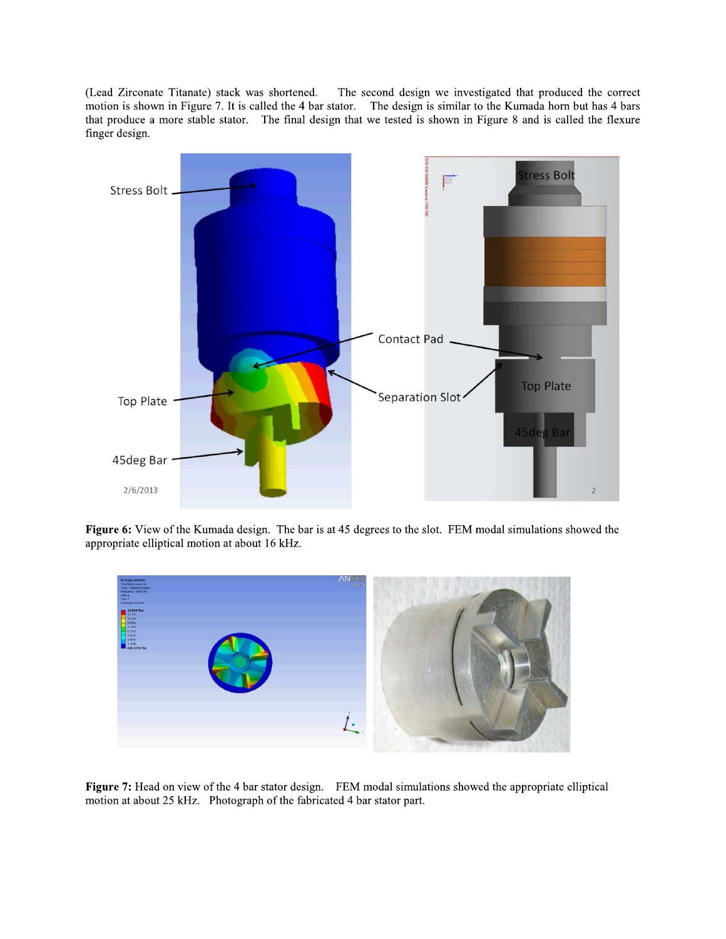(Lead Zirconate Titanate) stack was shortened. The second design we investigated that produced the correct motion is shown in Figure 7. It is called the 4 bar stator. The design is similar to the Kumada horn but has 4 bars that produce a more stable stator. The final design that we tested is shown in Figure 8 and is called the flexure finger design.



Figure 6: View of the Kumada design. The bar is at 45 degrees to the slot. FEM modal simulations showed the appropriate elliptical motion at about 16 kHz.



Figure 7: Head on view of the 4 bar stator design. FEM modal simulations showed the appropriate elliptical motion at about 25 kHz. Photograph of the fabricated 4 bar stator part.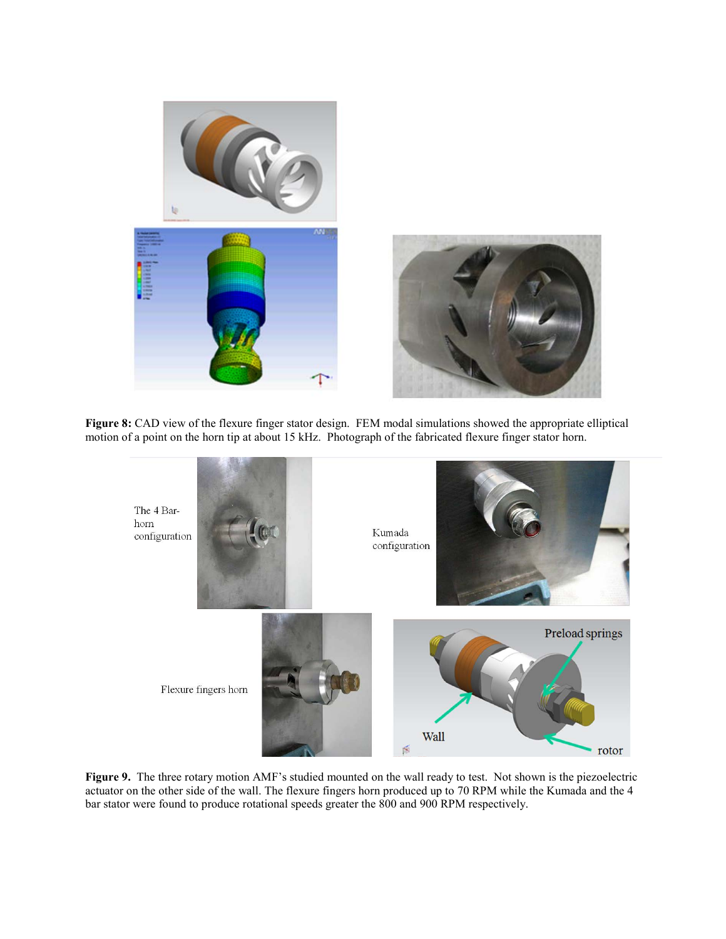

**Figure 8:** CAD view of the flexure finger stator design. FEM modal simulations showed the appropriate elliptical motion of a point on the horn tip at about 15 kHz. Photograph of the fabricated flexure finger stator horn.



**Figure 9.** The three rotary motion AMF's studied mounted on the wall ready to test. Not shown is the piezoelectric actuator on the other side of the wall. The flexure fingers horn produced up to 70 RPM while the Kumada and the 4 bar stator were found to produce rotational speeds greater the 800 and 900 RPM respectively.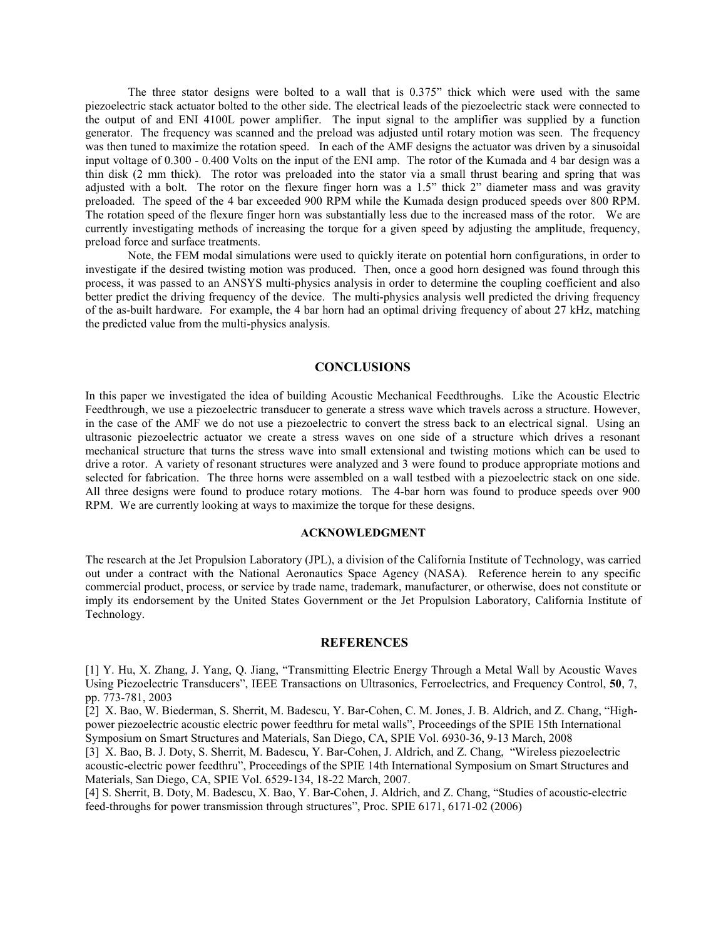The three stator designs were bolted to a wall that is 0.375" thick which were used with the same piezoelectric stack actuator bolted to the other side. The electrical leads of the piezoelectric stack were connected to the output of and ENI 4100L power amplifier. The input signal to the amplifier was supplied by a function generator. The frequency was scanned and the preload was adjusted until rotary motion was seen. The frequency was then tuned to maximize the rotation speed. In each of the AMF designs the actuator was driven by a sinusoidal input voltage of 0.300 - 0.400 Volts on the input of the ENI amp. The rotor of the Kumada and 4 bar design was a thin disk (2 mm thick). The rotor was preloaded into the stator via a small thrust bearing and spring that was adjusted with a bolt. The rotor on the flexure finger horn was a 1.5" thick 2" diameter mass and was gravity preloaded. The speed of the 4 bar exceeded 900 RPM while the Kumada design produced speeds over 800 RPM. The rotation speed of the flexure finger horn was substantially less due to the increased mass of the rotor. We are currently investigating methods of increasing the torque for a given speed by adjusting the amplitude, frequency, preload force and surface treatments.

Note, the FEM modal simulations were used to quickly iterate on potential horn configurations, in order to investigate if the desired twisting motion was produced. Then, once a good horn designed was found through this process, it was passed to an ANSYS multi-physics analysis in order to determine the coupling coefficient and also better predict the driving frequency of the device. The multi-physics analysis well predicted the driving frequency of the as-built hardware. For example, the 4 bar horn had an optimal driving frequency of about 27 kHz, matching the predicted value from the multi-physics analysis.

### **CONCLUSIONS**

In this paper we investigated the idea of building Acoustic Mechanical Feedthroughs. Like the Acoustic Electric Feedthrough, we use a piezoelectric transducer to generate a stress wave which travels across a structure. However, in the case of the AMF we do not use a piezoelectric to convert the stress back to an electrical signal. Using an ultrasonic piezoelectric actuator we create a stress waves on one side of a structure which drives a resonant mechanical structure that turns the stress wave into small extensional and twisting motions which can be used to drive a rotor. A variety of resonant structures were analyzed and 3 were found to produce appropriate motions and selected for fabrication. The three horns were assembled on a wall testbed with a piezoelectric stack on one side. All three designs were found to produce rotary motions. The 4-bar horn was found to produce speeds over 900 RPM. We are currently looking at ways to maximize the torque for these designs.

#### **ACKNOWLEDGMENT**

The research at the Jet Propulsion Laboratory (JPL), a division of the California Institute of Technology, was carried out under a contract with the National Aeronautics Space Agency (NASA). Reference herein to any specific commercial product, process, or service by trade name, trademark, manufacturer, or otherwise, does not constitute or imply its endorsement by the United States Government or the Jet Propulsion Laboratory, California Institute of Technology.

#### **REFERENCES**

[1] Y. Hu, X. Zhang, J. Yang, Q. Jiang, "Transmitting Electric Energy Through a Metal Wall by Acoustic Waves Using Piezoelectric Transducers", IEEE Transactions on Ultrasonics, Ferroelectrics, and Frequency Control, **50**, 7, pp. 773-781, 2003

[2] X. Bao, W. Biederman, S. Sherrit, M. Badescu, Y. Bar-Cohen, C. M. Jones, J. B. Aldrich, and Z. Chang, "Highpower piezoelectric acoustic electric power feedthru for metal walls", Proceedings of the SPIE 15th International Symposium on Smart Structures and Materials, San Diego, CA, SPIE Vol. 6930-36, 9-13 March, 2008

[3] X. Bao, B. J. Doty, S. Sherrit, M. Badescu, Y. Bar-Cohen, J. Aldrich, and Z. Chang, "Wireless piezoelectric acoustic-electric power feedthru", Proceedings of the SPIE 14th International Symposium on Smart Structures and Materials, San Diego, CA, SPIE Vol. 6529-134, 18-22 March, 2007.

[4] S. Sherrit, B. Doty, M. Badescu, X. Bao, Y. Bar-Cohen, J. Aldrich, and Z. Chang, "Studies of acoustic-electric feed-throughs for power transmission through structures", Proc. SPIE 6171, 6171-02 (2006)